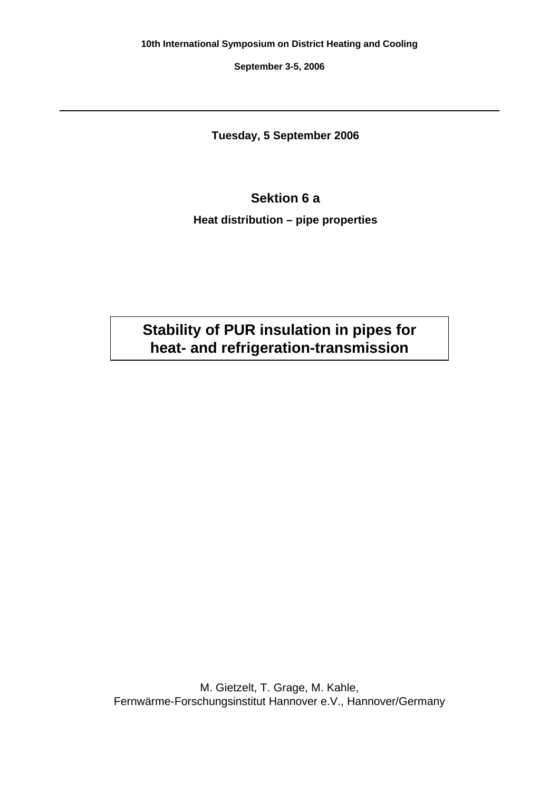**September 3-5, 2006**

**Tuesday, 5 September 2006**

# **Sektion 6 a**

**Heat distribution – pipe properties**

**Stability of PUR insulation in pipes for heat- and refrigeration-transmission** 

M. Gietzelt, T. Grage, M. Kahle, Fernwärme-Forschungsinstitut Hannover e.V., Hannover/Germany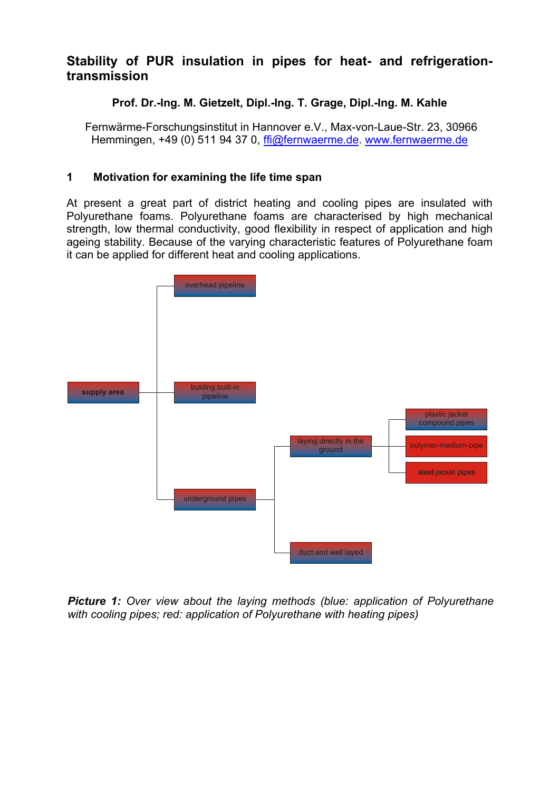# **Stability of PUR insulation in pipes for heat- and refrigerationtransmission**

# **Prof. Dr.-Ing. M. Gietzelt, Dipl.-Ing. T. Grage, Dipl.-Ing. M. Kahle**

 Fernwärme-Forschungsinstitut in Hannover e.V., Max-von-Laue-Str. 23, 30966 Hemmingen, +49 (0) 511 94 37 0, ffi@fernwaerme.de. www.fernwaerme.de

# **1 Motivation for examining the life time span**

At present a great part of district heating and cooling pipes are insulated with Polyurethane foams. Polyurethane foams are characterised by high mechanical strength, low thermal conductivity, good flexibility in respect of application and high ageing stability. Because of the varying characteristic features of Polyurethane foam it can be applied for different heat and cooling applications.



*Picture 1: Over view about the laying methods (blue: application of Polyurethane with cooling pipes; red: application of Polyurethane with heating pipes)*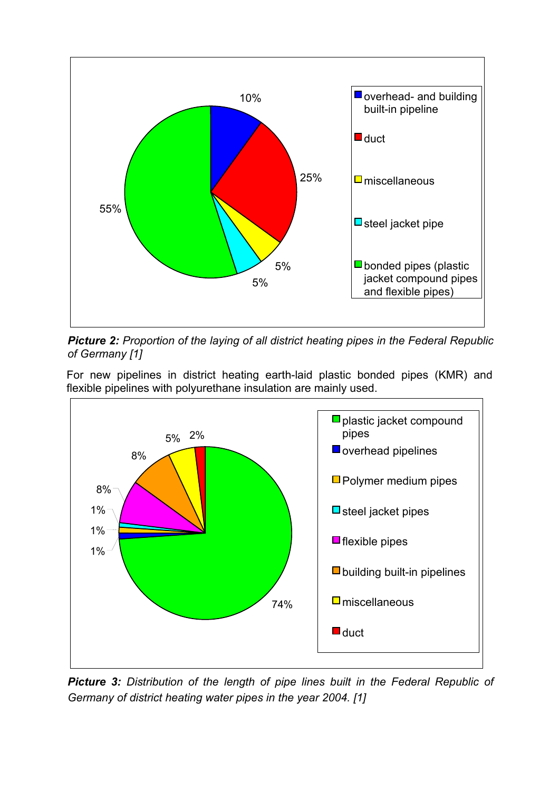

*Picture 2: Proportion of the laying of all district heating pipes in the Federal Republic of Germany [1]* 

For new pipelines in district heating earth-laid plastic bonded pipes (KMR) and flexible pipelines with polyurethane insulation are mainly used.



*Picture 3: Distribution of the length of pipe lines built in the Federal Republic of Germany of district heating water pipes in the year 2004. [1]*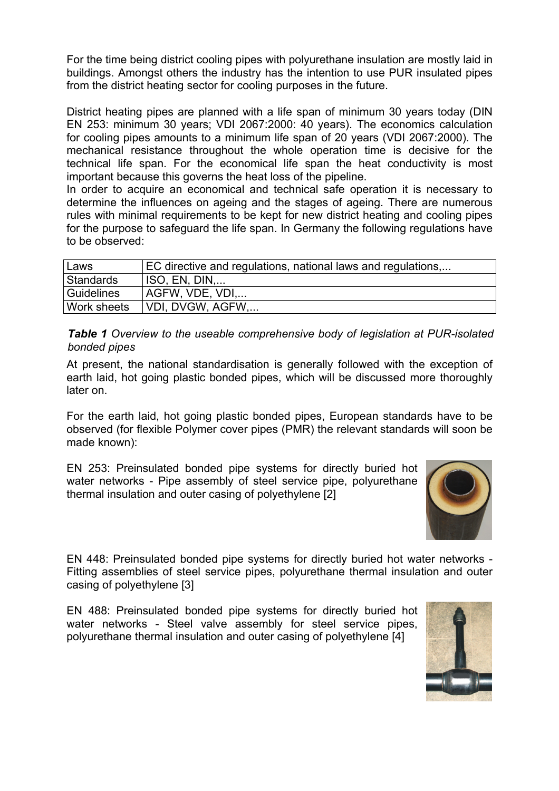For the time being district cooling pipes with polyurethane insulation are mostly laid in buildings. Amongst others the industry has the intention to use PUR insulated pipes from the district heating sector for cooling purposes in the future.

District heating pipes are planned with a life span of minimum 30 years today (DIN EN 253: minimum 30 years; VDI 2067:2000: 40 years). The economics calculation for cooling pipes amounts to a minimum life span of 20 years (VDI 2067:2000). The mechanical resistance throughout the whole operation time is decisive for the technical life span. For the economical life span the heat conductivity is most important because this governs the heat loss of the pipeline.

In order to acquire an economical and technical safe operation it is necessary to determine the influences on ageing and the stages of ageing. There are numerous rules with minimal requirements to be kept for new district heating and cooling pipes for the purpose to safeguard the life span. In Germany the following regulations have to be observed:

| Laws        | EC directive and regulations, national laws and regulations, |
|-------------|--------------------------------------------------------------|
| Standards   | ISO, EN, DIN                                                 |
| Guidelines  | AGFW, VDE, VDI                                               |
| Work sheets | VDI, DVGW, AGFW,                                             |

*Table 1 Overview to the useable comprehensive body of legislation at PUR-isolated bonded pipes* 

At present, the national standardisation is generally followed with the exception of earth laid, hot going plastic bonded pipes, which will be discussed more thoroughly later on.

For the earth laid, hot going plastic bonded pipes, European standards have to be observed (for flexible Polymer cover pipes (PMR) the relevant standards will soon be made known):

EN 253: Preinsulated bonded pipe systems for directly buried hot water networks - Pipe assembly of steel service pipe, polyurethane thermal insulation and outer casing of polyethylene [2]



EN 448: Preinsulated bonded pipe systems for directly buried hot water networks - Fitting assemblies of steel service pipes, polyurethane thermal insulation and outer casing of polyethylene [3]

EN 488: Preinsulated bonded pipe systems for directly buried hot water networks - Steel valve assembly for steel service pipes, polyurethane thermal insulation and outer casing of polyethylene [4]

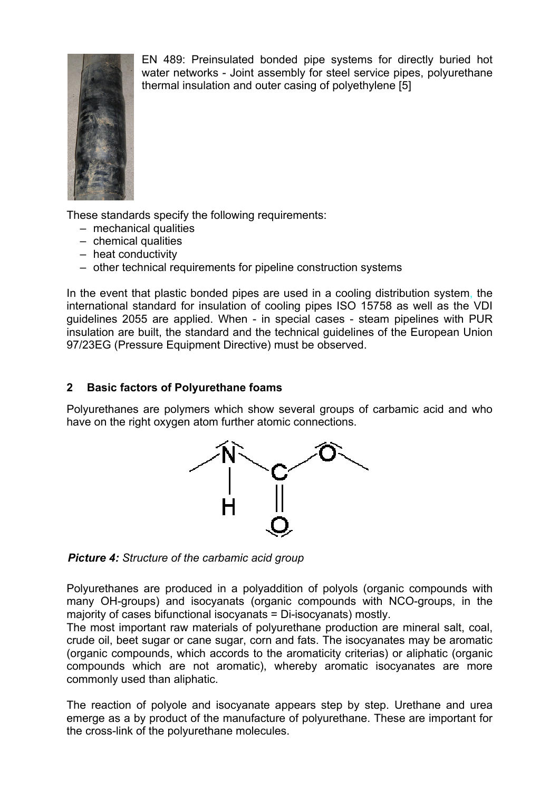

EN 489: Preinsulated bonded pipe systems for directly buried hot water networks - Joint assembly for steel service pipes, polyurethane thermal insulation and outer casing of polyethylene [5]

These standards specify the following requirements:

- mechanical qualities
- chemical qualities
- heat conductivity
- other technical requirements for pipeline construction systems

In the event that plastic bonded pipes are used in a cooling distribution system, the international standard for insulation of cooling pipes ISO 15758 as well as the VDI guidelines 2055 are applied. When - in special cases - steam pipelines with PUR insulation are built, the standard and the technical guidelines of the European Union 97/23EG (Pressure Equipment Directive) must be observed.

## **2 Basic factors of Polyurethane foams**

Polyurethanes are polymers which show several groups of carbamic acid and who have on the right oxygen atom further atomic connections.



*Picture 4: Structure of the carbamic acid group* 

Polyurethanes are produced in a polyaddition of polyols (organic compounds with many OH-groups) and isocyanats (organic compounds with NCO-groups, in the majority of cases bifunctional isocyanats = Di-isocyanats) mostly.

The most important raw materials of polyurethane production are mineral salt, coal, crude oil, beet sugar or cane sugar, corn and fats. The isocyanates may be aromatic (organic compounds, which accords to the aromaticity criterias) or aliphatic (organic compounds which are not aromatic), whereby aromatic isocyanates are more commonly used than aliphatic.

The reaction of polyole and isocyanate appears step by step. Urethane and urea emerge as a by product of the manufacture of polyurethane. These are important for the cross-link of the polyurethane molecules.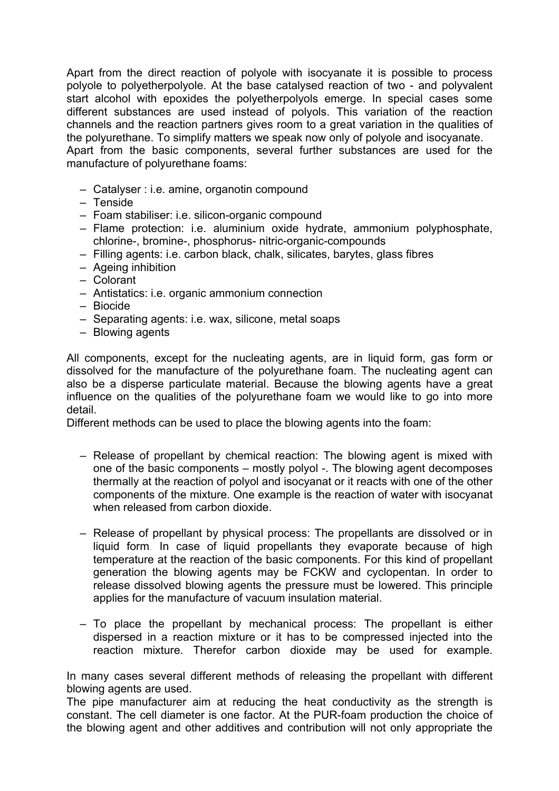Apart from the direct reaction of polyole with isocyanate it is possible to process polyole to polyetherpolyole. At the base catalysed reaction of two - and polyvalent start alcohol with epoxides the polyetherpolyols emerge. In special cases some different substances are used instead of polyols. This variation of the reaction channels and the reaction partners gives room to a great variation in the qualities of the polyurethane. To simplify matters we speak now only of polyole and isocyanate. Apart from the basic components, several further substances are used for the manufacture of polyurethane foams:

- Catalyser : i.e. amine, organotin compound
- Tenside
- Foam stabiliser: i.e. silicon-organic compound
- Flame protection: i.e. aluminium oxide hydrate, ammonium polyphosphate, chlorine-, bromine-, phosphorus- nitric-organic-compounds
- Filling agents: i.e. carbon black, chalk, silicates, barytes, glass fibres
- Ageing inhibition
- Colorant
- Antistatics: i.e. organic ammonium connection
- Biocide
- Separating agents: i.e. wax, silicone, metal soaps
- Blowing agents

All components, except for the nucleating agents, are in liquid form, gas form or dissolved for the manufacture of the polyurethane foam. The nucleating agent can also be a disperse particulate material. Because the blowing agents have a great influence on the qualities of the polyurethane foam we would like to go into more detail.

Different methods can be used to place the blowing agents into the foam:

- Release of propellant by chemical reaction: The blowing agent is mixed with one of the basic components – mostly polyol -. The blowing agent decomposes thermally at the reaction of polyol and isocyanat or it reacts with one of the other components of the mixture. One example is the reaction of water with isocyanat when released from carbon dioxide.
- Release of propellant by physical process: The propellants are dissolved or in liquid form. In case of liquid propellants they evaporate because of high temperature at the reaction of the basic components. For this kind of propellant generation the blowing agents may be FCKW and cyclopentan. In order to release dissolved blowing agents the pressure must be lowered. This principle applies for the manufacture of vacuum insulation material.
- To place the propellant by mechanical process: The propellant is either dispersed in a reaction mixture or it has to be compressed injected into the reaction mixture. Therefor carbon dioxide may be used for example.

In many cases several different methods of releasing the propellant with different blowing agents are used.

The pipe manufacturer aim at reducing the heat conductivity as the strength is constant. The cell diameter is one factor. At the PUR-foam production the choice of the blowing agent and other additives and contribution will not only appropriate the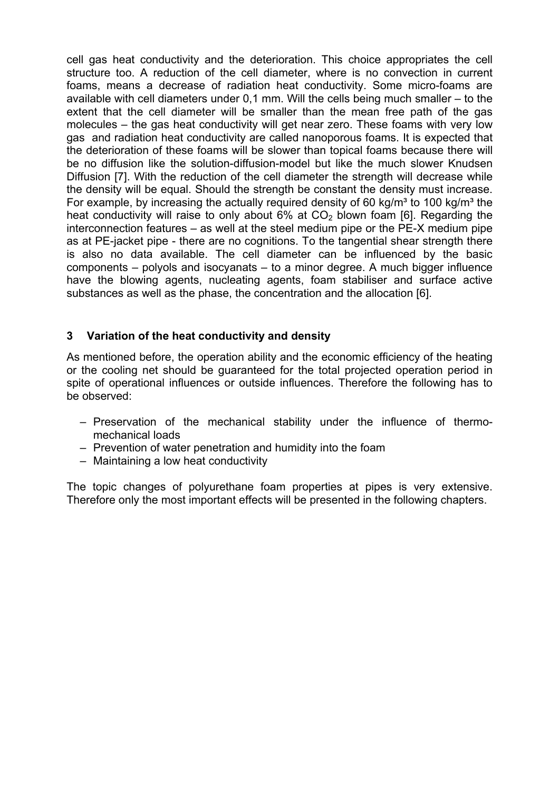cell gas heat conductivity and the deterioration. This choice appropriates the cell structure too. A reduction of the cell diameter, where is no convection in current foams, means a decrease of radiation heat conductivity. Some micro-foams are available with cell diameters under 0,1 mm. Will the cells being much smaller – to the extent that the cell diameter will be smaller than the mean free path of the gas molecules – the gas heat conductivity will get near zero. These foams with very low gas and radiation heat conductivity are called nanoporous foams. It is expected that the deterioration of these foams will be slower than topical foams because there will be no diffusion like the solution-diffusion-model but like the much slower Knudsen Diffusion [7]. With the reduction of the cell diameter the strength will decrease while the density will be equal. Should the strength be constant the density must increase. For example, by increasing the actually required density of 60 kg/m<sup>3</sup> to 100 kg/m<sup>3</sup> the heat conductivity will raise to only about  $6\%$  at  $CO<sub>2</sub>$  blown foam [6]. Regarding the interconnection features – as well at the steel medium pipe or the PE-X medium pipe as at PE-jacket pipe - there are no cognitions. To the tangential shear strength there is also no data available. The cell diameter can be influenced by the basic components – polyols and isocyanats – to a minor degree. A much bigger influence have the blowing agents, nucleating agents, foam stabiliser and surface active substances as well as the phase, the concentration and the allocation [6].

# **3 Variation of the heat conductivity and density**

As mentioned before, the operation ability and the economic efficiency of the heating or the cooling net should be guaranteed for the total projected operation period in spite of operational influences or outside influences. Therefore the following has to be observed:

- Preservation of the mechanical stability under the influence of thermomechanical loads
- Prevention of water penetration and humidity into the foam
- Maintaining a low heat conductivity

The topic changes of polyurethane foam properties at pipes is very extensive. Therefore only the most important effects will be presented in the following chapters.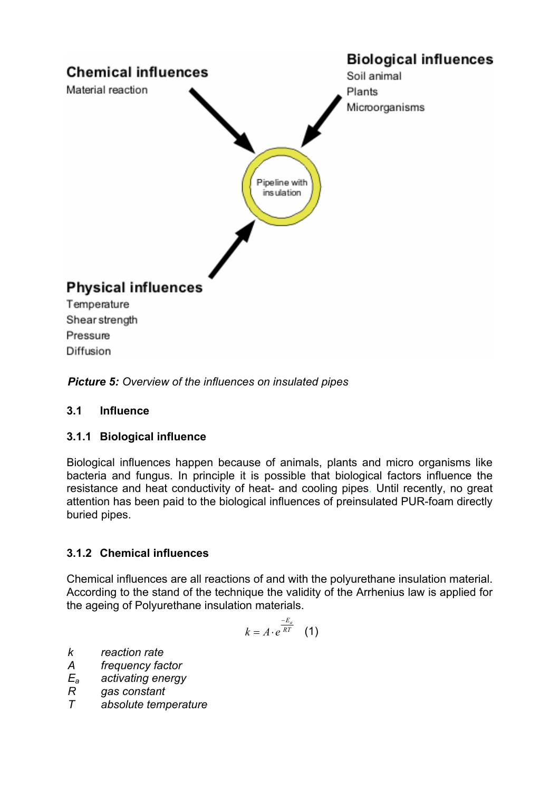

*Picture 5: Overview of the influences on insulated pipes*

## **3.1 Influence**

## **3.1.1 Biological influence**

Biological influences happen because of animals, plants and micro organisms like bacteria and fungus. In principle it is possible that biological factors influence the resistance and heat conductivity of heat- and cooling pipes. Until recently, no great attention has been paid to the biological influences of preinsulated PUR-foam directly buried pipes.

## **3.1.2 Chemical influences**

Chemical influences are all reactions of and with the polyurethane insulation material. According to the stand of the technique the validity of the Arrhenius law is applied for the ageing of Polyurethane insulation materials.

$$
k = A \cdot e^{\frac{-E_a}{RT}} \quad (1)
$$

- *k reaction rate*
- *A frequency factor*
- *Ea activating energy*
- *R gas constant*
- absolute temperature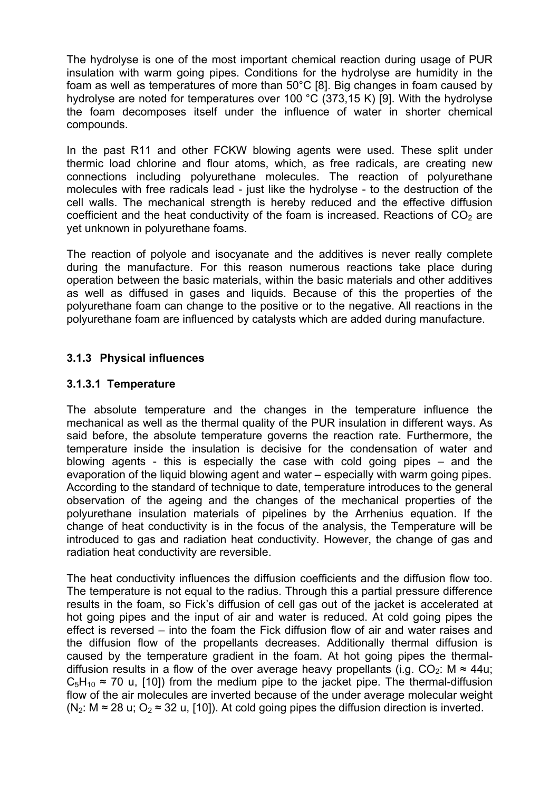The hydrolyse is one of the most important chemical reaction during usage of PUR insulation with warm going pipes. Conditions for the hydrolyse are humidity in the foam as well as temperatures of more than 50°C [8]. Big changes in foam caused by hydrolyse are noted for temperatures over 100 °C (373,15 K) [9]. With the hydrolyse the foam decomposes itself under the influence of water in shorter chemical compounds.

In the past R11 and other FCKW blowing agents were used. These split under thermic load chlorine and flour atoms, which, as free radicals, are creating new connections including polyurethane molecules. The reaction of polyurethane molecules with free radicals lead - just like the hydrolyse - to the destruction of the cell walls. The mechanical strength is hereby reduced and the effective diffusion coefficient and the heat conductivity of the foam is increased. Reactions of  $CO<sub>2</sub>$  are yet unknown in polyurethane foams.

The reaction of polyole and isocyanate and the additives is never really complete during the manufacture. For this reason numerous reactions take place during operation between the basic materials, within the basic materials and other additives as well as diffused in gases and liquids. Because of this the properties of the polyurethane foam can change to the positive or to the negative. All reactions in the polyurethane foam are influenced by catalysts which are added during manufacture.

# **3.1.3 Physical influences**

## **3.1.3.1 Temperature**

The absolute temperature and the changes in the temperature influence the mechanical as well as the thermal quality of the PUR insulation in different ways. As said before, the absolute temperature governs the reaction rate. Furthermore, the temperature inside the insulation is decisive for the condensation of water and blowing agents - this is especially the case with cold going pipes – and the evaporation of the liquid blowing agent and water – especially with warm going pipes. According to the standard of technique to date, temperature introduces to the general observation of the ageing and the changes of the mechanical properties of the polyurethane insulation materials of pipelines by the Arrhenius equation. If the change of heat conductivity is in the focus of the analysis, the Temperature will be introduced to gas and radiation heat conductivity. However, the change of gas and radiation heat conductivity are reversible.

The heat conductivity influences the diffusion coefficients and the diffusion flow too. The temperature is not equal to the radius. Through this a partial pressure difference results in the foam, so Fick's diffusion of cell gas out of the jacket is accelerated at hot going pipes and the input of air and water is reduced. At cold going pipes the effect is reversed – into the foam the Fick diffusion flow of air and water raises and the diffusion flow of the propellants decreases. Additionally thermal diffusion is caused by the temperature gradient in the foam. At hot going pipes the thermaldiffusion results in a flow of the over average heavy propellants (i.g.  $CO<sub>2</sub>$ : M  $\approx$  44u:  $C_5H_{10} \approx 70$  u, [10]) from the medium pipe to the jacket pipe. The thermal-diffusion flow of the air molecules are inverted because of the under average molecular weight (N<sub>2</sub>: M  $\approx$  28 u; O<sub>2</sub>  $\approx$  32 u, [10]). At cold going pipes the diffusion direction is inverted.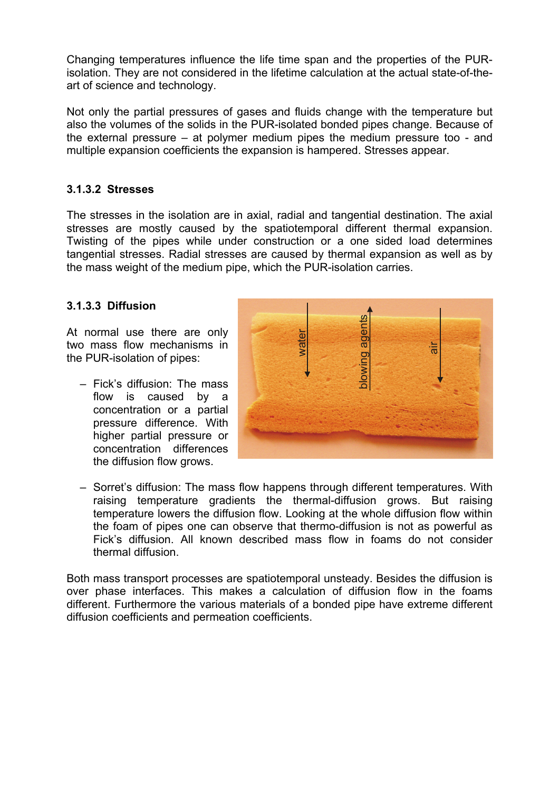Changing temperatures influence the life time span and the properties of the PURisolation. They are not considered in the lifetime calculation at the actual state-of-theart of science and technology.

Not only the partial pressures of gases and fluids change with the temperature but also the volumes of the solids in the PUR-isolated bonded pipes change. Because of the external pressure – at polymer medium pipes the medium pressure too - and multiple expansion coefficients the expansion is hampered. Stresses appear.

#### **3.1.3.2 Stresses**

The stresses in the isolation are in axial, radial and tangential destination. The axial stresses are mostly caused by the spatiotemporal different thermal expansion. Twisting of the pipes while under construction or a one sided load determines tangential stresses. Radial stresses are caused by thermal expansion as well as by the mass weight of the medium pipe, which the PUR-isolation carries.

#### **3.1.3.3 Diffusion**

At normal use there are only two mass flow mechanisms in the PUR-isolation of pipes:

– Fick's diffusion: The mass flow is caused by a concentration or a partial pressure difference. With higher partial pressure or concentration differences the diffusion flow grows.



– Sorret's diffusion: The mass flow happens through different temperatures. With raising temperature gradients the thermal-diffusion grows. But raising temperature lowers the diffusion flow. Looking at the whole diffusion flow within the foam of pipes one can observe that thermo-diffusion is not as powerful as Fick's diffusion. All known described mass flow in foams do not consider thermal diffusion.

Both mass transport processes are spatiotemporal unsteady. Besides the diffusion is over phase interfaces. This makes a calculation of diffusion flow in the foams different. Furthermore the various materials of a bonded pipe have extreme different diffusion coefficients and permeation coefficients.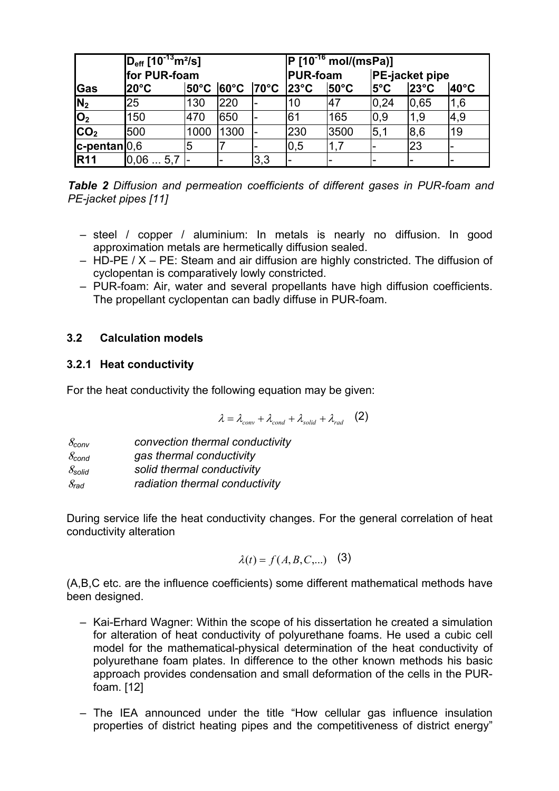|                           | $D_{\text{eff}}$ [10 <sup>-13</sup> m <sup>2</sup> /s]<br>for PUR-foam<br> 70°C<br>l20°C<br>$ 60^{\circ}$ C<br>$50^{\circ}$ C |      |      |     | $P$ [10 <sup>-16</sup> mol/(msPa)]                    |      |                                                                   |      |     |  |
|---------------------------|-------------------------------------------------------------------------------------------------------------------------------|------|------|-----|-------------------------------------------------------|------|-------------------------------------------------------------------|------|-----|--|
| Gas                       |                                                                                                                               |      |      |     | <b>IPUR-foam</b><br>$123^{\circ}$ C<br>$50^{\circ}$ C |      | <b>PE-jacket pipe</b><br>$23^{\circ}$ C<br>$40^{\circ}$ C<br>l5°C |      |     |  |
| N <sub>2</sub>            | 25                                                                                                                            | 130  | 220  |     | 10                                                    | 147  | 0,24                                                              | 0.65 | 1,6 |  |
| $\mathsf{I} \mathsf{O}_2$ | 150                                                                                                                           | 470  | 650  | -   | 61                                                    | 165  | $ 0,9\rangle$                                                     | 1,9  | 4,9 |  |
| CO <sub>2</sub>           | 500                                                                                                                           | 1000 | 1300 |     | 230                                                   | 3500 | 5,1                                                               | 8,6  | 19  |  |
| $ c$ -pentan $ 0,6 $      |                                                                                                                               | 5    |      |     | 0.5                                                   | 1,7  |                                                                   | 23   |     |  |
| <b>R11</b>                | 0,065,7                                                                                                                       |      | -    | 3,3 |                                                       |      |                                                                   |      |     |  |

*Table 2 Diffusion and permeation coefficients of different gases in PUR-foam and PE-jacket pipes [11]* 

- steel / copper / aluminium: In metals is nearly no diffusion. In good approximation metals are hermetically diffusion sealed.
- HD-PE / X PE: Steam and air diffusion are highly constricted. The diffusion of cyclopentan is comparatively lowly constricted.
- PUR-foam: Air, water and several propellants have high diffusion coefficients. The propellant cyclopentan can badly diffuse in PUR-foam.

# **3.2 Calculation models**

# **3.2.1 Heat conductivity**

For the heat conductivity the following equation may be given:

$$
\lambda = \lambda_{conv} + \lambda_{cond} + \lambda_{solid} + \lambda_{rad} \quad (2)
$$

| $\mathcal{S}_{\mathsf{conv}}$  | convection thermal conductivity |
|--------------------------------|---------------------------------|
| $\mathcal{S}_{\mathsf{cond}}$  | gas thermal conductivity        |
| $\mathcal{S}_{\mathsf{solid}}$ | solid thermal conductivity      |
| 8 <sub>rad</sub>               | radiation thermal conductivity  |

During service life the heat conductivity changes. For the general correlation of heat conductivity alteration

$$
\lambda(t) = f(A, B, C, \dots) \quad (3)
$$

(A,B,C etc. are the influence coefficients) some different mathematical methods have been designed.

- Kai-Erhard Wagner: Within the scope of his dissertation he created a simulation for alteration of heat conductivity of polyurethane foams. He used a cubic cell model for the mathematical-physical determination of the heat conductivity of polyurethane foam plates. In difference to the other known methods his basic approach provides condensation and small deformation of the cells in the PURfoam. [12]
- The IEA announced under the title "How cellular gas influence insulation properties of district heating pipes and the competitiveness of district energy"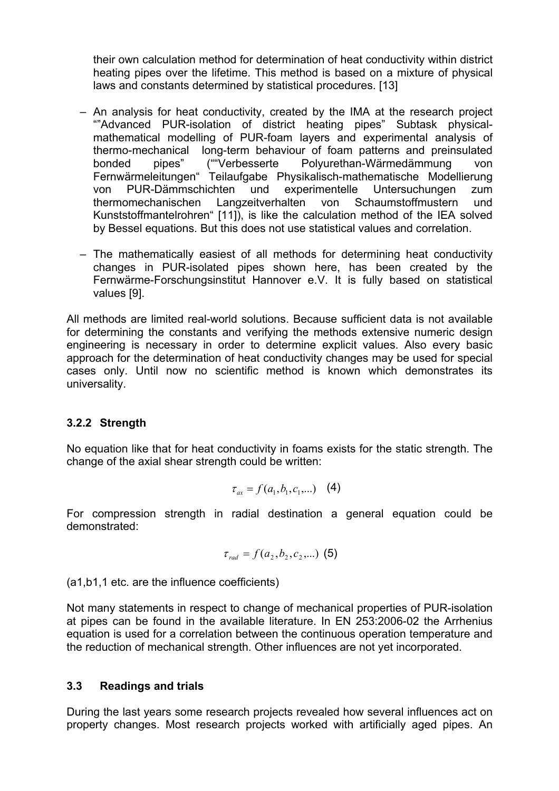their own calculation method for determination of heat conductivity within district heating pipes over the lifetime. This method is based on a mixture of physical laws and constants determined by statistical procedures. [13]

- An analysis for heat conductivity, created by the IMA at the research project ""Advanced PUR-isolation of district heating pipes" Subtask physicalmathematical modelling of PUR-foam layers and experimental analysis of thermo-mechanical long-term behaviour of foam patterns and preinsulated bonded pipes" (""Verbesserte Polyurethan-Wärmedämmung von Fernwärmeleitungen" Teilaufgabe Physikalisch-mathematische Modellierung von PUR-Dämmschichten und experimentelle Untersuchungen zum thermomechanischen Langzeitverhalten von Schaumstoffmustern und Kunststoffmantelrohren" [11]), is like the calculation method of the IEA solved by Bessel equations. But this does not use statistical values and correlation.
- The mathematically easiest of all methods for determining heat conductivity changes in PUR-isolated pipes shown here, has been created by the Fernwärme-Forschungsinstitut Hannover e.V. It is fully based on statistical values [9].

All methods are limited real-world solutions. Because sufficient data is not available for determining the constants and verifying the methods extensive numeric design engineering is necessary in order to determine explicit values. Also every basic approach for the determination of heat conductivity changes may be used for special cases only. Until now no scientific method is known which demonstrates its universality.

## **3.2.2 Strength**

No equation like that for heat conductivity in foams exists for the static strength. The change of the axial shear strength could be written:

$$
\tau_{ax} = f(a_1, b_1, c_1, \dots) \quad (4)
$$

For compression strength in radial destination a general equation could be demonstrated:

$$
\tau_{rad} = f(a_2, b_2, c_2, \dots) \text{ (5)}
$$

(a1,b1,1 etc. are the influence coefficients)

Not many statements in respect to change of mechanical properties of PUR-isolation at pipes can be found in the available literature. In EN 253:2006-02 the Arrhenius equation is used for a correlation between the continuous operation temperature and the reduction of mechanical strength. Other influences are not yet incorporated.

#### **3.3 Readings and trials**

During the last years some research projects revealed how several influences act on property changes. Most research projects worked with artificially aged pipes. An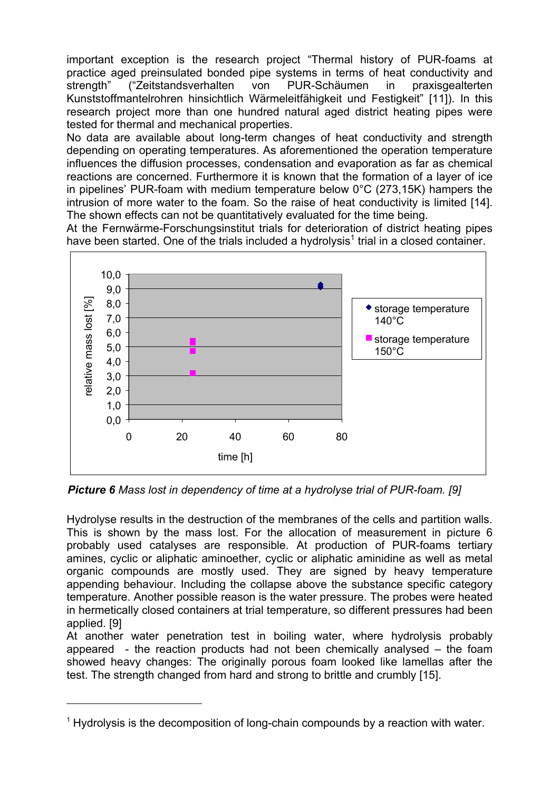important exception is the research project "Thermal history of PUR-foams at practice aged preinsulated bonded pipe systems in terms of heat conductivity and strength" ("Zeitstandsverhalten von PUR-Schäumen in praxisgealterten Kunststoffmantelrohren hinsichtlich Wärmeleitfähigkeit und Festigkeit" [11]). In this research project more than one hundred natural aged district heating pipes were tested for thermal and mechanical properties.

No data are available about long-term changes of heat conductivity and strength depending on operating temperatures. As aforementioned the operation temperature influences the diffusion processes, condensation and evaporation as far as chemical reactions are concerned. Furthermore it is known that the formation of a layer of ice in pipelines' PUR-foam with medium temperature below 0°C (273,15K) hampers the intrusion of more water to the foam. So the raise of heat conductivity is limited [14]. The shown effects can not be quantitatively evaluated for the time being.

At the Fernwärme-Forschungsinstitut trials for deterioration of district heating pipes have been started. One of the trials included a hydrolysis<sup>1</sup> trial in a closed container.



*Picture 6 Mass lost in dependency of time at a hydrolyse trial of PUR-foam. [9]* 

Hydrolyse results in the destruction of the membranes of the cells and partition walls. This is shown by the mass lost. For the allocation of measurement in picture 6 probably used catalyses are responsible. At production of PUR-foams tertiary amines, cyclic or aliphatic aminoether, cyclic or aliphatic aminidine as well as metal organic compounds are mostly used. They are signed by heavy temperature appending behaviour. Including the collapse above the substance specific category temperature. Another possible reason is the water pressure. The probes were heated in hermetically closed containers at trial temperature, so different pressures had been applied. [9]

At another water penetration test in boiling water, where hydrolysis probably appeared - the reaction products had not been chemically analysed – the foam showed heavy changes: The originally porous foam looked like lamellas after the test. The strength changed from hard and strong to brittle and crumbly [15].

<sup>&</sup>lt;sup>1</sup> Hydrolysis is the decomposition of long-chain compounds by a reaction with water.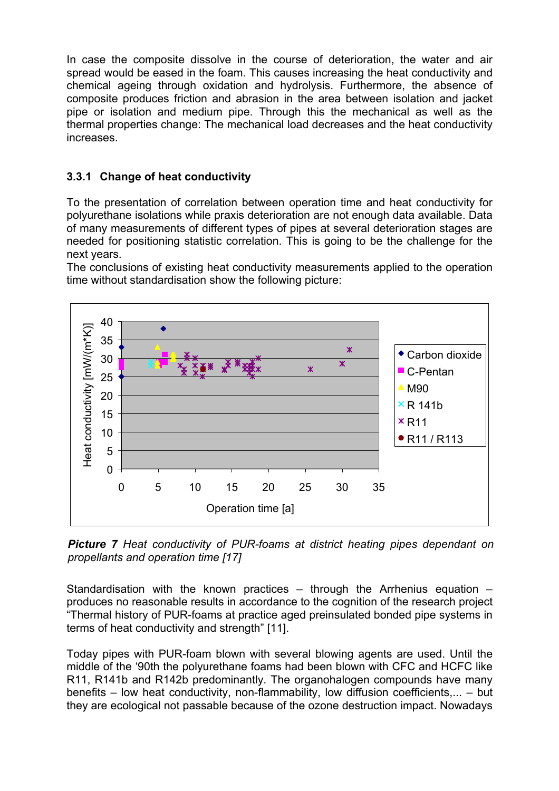In case the composite dissolve in the course of deterioration, the water and air spread would be eased in the foam. This causes increasing the heat conductivity and chemical ageing through oxidation and hydrolysis. Furthermore, the absence of composite produces friction and abrasion in the area between isolation and jacket pipe or isolation and medium pipe. Through this the mechanical as well as the thermal properties change: The mechanical load decreases and the heat conductivity increases.

# **3.3.1 Change of heat conductivity**

To the presentation of correlation between operation time and heat conductivity for polyurethane isolations while praxis deterioration are not enough data available. Data of many measurements of different types of pipes at several deterioration stages are needed for positioning statistic correlation. This is going to be the challenge for the next years.

The conclusions of existing heat conductivity measurements applied to the operation time without standardisation show the following picture:



*Picture 7 Heat conductivity of PUR-foams at district heating pipes dependant on propellants and operation time [17]*

Standardisation with the known practices – through the Arrhenius equation – produces no reasonable results in accordance to the cognition of the research project "Thermal history of PUR-foams at practice aged preinsulated bonded pipe systems in terms of heat conductivity and strength" [11].

Today pipes with PUR-foam blown with several blowing agents are used. Until the middle of the '90th the polyurethane foams had been blown with CFC and HCFC like R11, R141b and R142b predominantly. The organohalogen compounds have many benefits – low heat conductivity, non-flammability, low diffusion coefficients,... – but they are ecological not passable because of the ozone destruction impact. Nowadays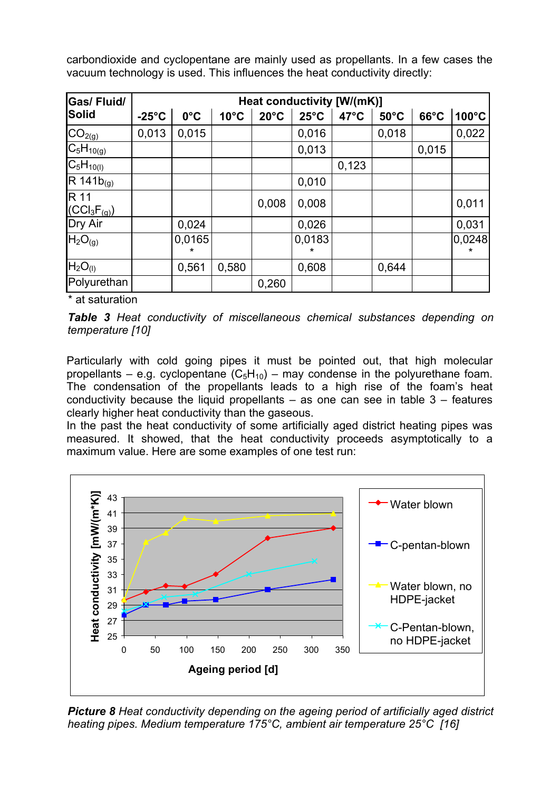carbondioxide and cyclopentane are mainly used as propellants. In a few cases the vacuum technology is used. This influences the heat conductivity directly:

| <b>Gas/Fluid/</b>               | Heat conductivity [W/(mK)] |               |                |                |                |                |                |                |        |
|---------------------------------|----------------------------|---------------|----------------|----------------|----------------|----------------|----------------|----------------|--------|
| <b>Solid</b>                    | $-25^{\circ}$ C            | $0^{\circ}$ C | $10^{\circ}$ C | $20^{\circ}$ C | $25^{\circ}$ C | $47^{\circ}$ C | $50^{\circ}$ C | $66^{\circ}$ C | 100°C  |
| CO <sub>2(g)</sub>              | 0,013                      | 0,015         |                |                | 0,016          |                | 0,018          |                | 0,022  |
| $C_5H_{10(g)}$                  |                            |               |                |                | 0,013          |                |                | 0,015          |        |
| $C_5H_{10(1)}$                  |                            |               |                |                |                | 0,123          |                |                |        |
| $R 141b_{(g)}$                  |                            |               |                |                | 0,010          |                |                |                |        |
| R 11<br>$(CCl_3F_{(g)})$        |                            |               |                | 0,008          | 0,008          |                |                |                | 0,011  |
| Dry Air                         |                            | 0,024         |                |                | 0,026          |                |                |                | 0,031  |
| H <sub>2</sub> O <sub>(g)</sub> |                            | 0,0165<br>*   |                |                | 0,0183<br>÷    |                |                |                | 0,0248 |
| H <sub>2</sub> O <sub>(I)</sub> |                            | 0,561         | 0,580          |                | 0,608          |                | 0,644          |                |        |
| Polyurethan                     |                            |               |                | 0,260          |                |                |                |                |        |

\* at saturation

*Table 3 Heat conductivity of miscellaneous chemical substances depending on temperature [10]* 

Particularly with cold going pipes it must be pointed out, that high molecular propellants – e.g. cyclopentane  $(C_5H_{10})$  – may condense in the polyurethane foam. The condensation of the propellants leads to a high rise of the foam's heat conductivity because the liquid propellants  $-$  as one can see in table  $3 -$  features clearly higher heat conductivity than the gaseous.

In the past the heat conductivity of some artificially aged district heating pipes was measured. It showed, that the heat conductivity proceeds asymptotically to a maximum value. Here are some examples of one test run:



*Picture 8 Heat conductivity depending on the ageing period of artificially aged district heating pipes. Medium temperature 175°C, ambient air temperature 25°C [16]*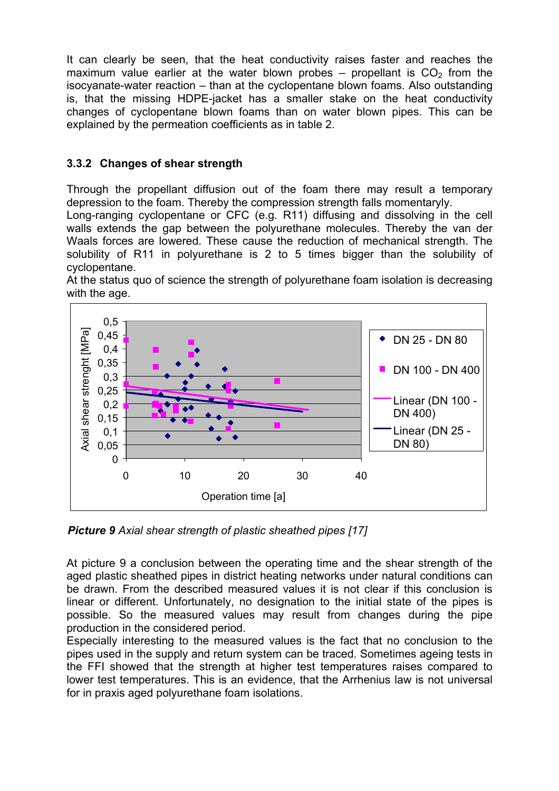It can clearly be seen, that the heat conductivity raises faster and reaches the maximum value earlier at the water blown probes – propellant is  $CO<sub>2</sub>$  from the isocyanate-water reaction – than at the cyclopentane blown foams. Also outstanding is, that the missing HDPE-jacket has a smaller stake on the heat conductivity changes of cyclopentane blown foams than on water blown pipes. This can be explained by the permeation coefficients as in table 2.

# **3.3.2 Changes of shear strength**

Through the propellant diffusion out of the foam there may result a temporary depression to the foam. Thereby the compression strength falls momentaryly.

Long-ranging cyclopentane or CFC (e.g. R11) diffusing and dissolving in the cell walls extends the gap between the polyurethane molecules. Thereby the van der Waals forces are lowered. These cause the reduction of mechanical strength. The solubility of R11 in polyurethane is 2 to 5 times bigger than the solubility of cyclopentane.

At the status quo of science the strength of polyurethane foam isolation is decreasing with the age.



*Picture 9 Axial shear strength of plastic sheathed pipes [17]*

At picture 9 a conclusion between the operating time and the shear strength of the aged plastic sheathed pipes in district heating networks under natural conditions can be drawn. From the described measured values it is not clear if this conclusion is linear or different. Unfortunately, no designation to the initial state of the pipes is possible. So the measured values may result from changes during the pipe production in the considered period.

Especially interesting to the measured values is the fact that no conclusion to the pipes used in the supply and return system can be traced. Sometimes ageing tests in the FFI showed that the strength at higher test temperatures raises compared to lower test temperatures. This is an evidence, that the Arrhenius law is not universal for in praxis aged polyurethane foam isolations.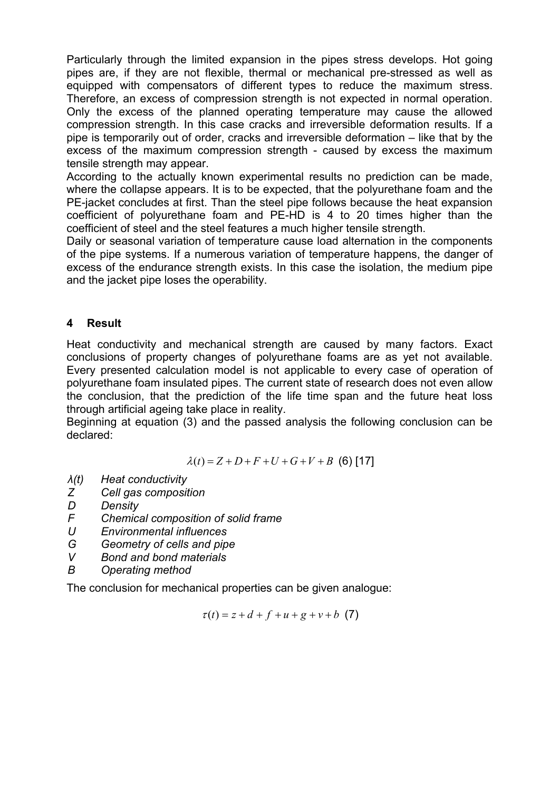Particularly through the limited expansion in the pipes stress develops. Hot going pipes are, if they are not flexible, thermal or mechanical pre-stressed as well as equipped with compensators of different types to reduce the maximum stress. Therefore, an excess of compression strength is not expected in normal operation. Only the excess of the planned operating temperature may cause the allowed compression strength. In this case cracks and irreversible deformation results. If a pipe is temporarily out of order, cracks and irreversible deformation – like that by the excess of the maximum compression strength - caused by excess the maximum tensile strength may appear.

According to the actually known experimental results no prediction can be made, where the collapse appears. It is to be expected, that the polyurethane foam and the PE-jacket concludes at first. Than the steel pipe follows because the heat expansion coefficient of polyurethane foam and PE-HD is 4 to 20 times higher than the coefficient of steel and the steel features a much higher tensile strength.

Daily or seasonal variation of temperature cause load alternation in the components of the pipe systems. If a numerous variation of temperature happens, the danger of excess of the endurance strength exists. In this case the isolation, the medium pipe and the jacket pipe loses the operability.

## **4 Result**

Heat conductivity and mechanical strength are caused by many factors. Exact conclusions of property changes of polyurethane foams are as yet not available. Every presented calculation model is not applicable to every case of operation of polyurethane foam insulated pipes. The current state of research does not even allow the conclusion, that the prediction of the life time span and the future heat loss through artificial ageing take place in reality.

Beginning at equation (3) and the passed analysis the following conclusion can be declared:

$$
\lambda(t) = Z + D + F + U + G + V + B
$$
 (6) [17]

- *λ(t) Heat conductivity*
- *Z Cell gas composition*
- *D Density*
- *F Chemical composition of solid frame*
- *U Environmental influences*
- *G Geometry of cells and pipe*
- *V Bond and bond materials*
- *B Operating method*

The conclusion for mechanical properties can be given analogue:

$$
\tau(t) = z + d + f + u + g + v + b \quad (7)
$$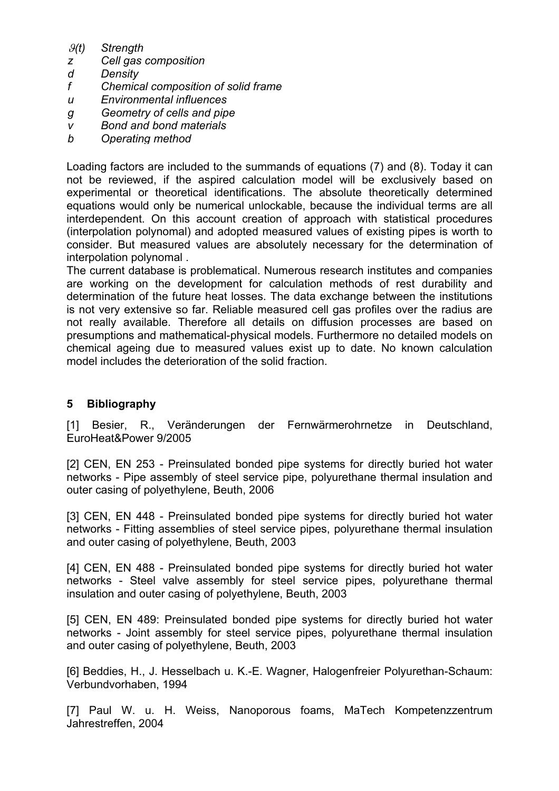- ϑ*(t) Strength*
- *z Cell gas composition*
- *d Density*
- *f Chemical composition of solid frame*
- *u Environmental influences*
- *g Geometry of cells and pipe*
- *v Bond and bond materials*
- *b Operating method*

Loading factors are included to the summands of equations (7) and (8). Today it can not be reviewed, if the aspired calculation model will be exclusively based on experimental or theoretical identifications. The absolute theoretically determined equations would only be numerical unlockable, because the individual terms are all interdependent. On this account creation of approach with statistical procedures (interpolation polynomal) and adopted measured values of existing pipes is worth to consider. But measured values are absolutely necessary for the determination of interpolation polynomal .

The current database is problematical. Numerous research institutes and companies are working on the development for calculation methods of rest durability and determination of the future heat losses. The data exchange between the institutions is not very extensive so far. Reliable measured cell gas profiles over the radius are not really available. Therefore all details on diffusion processes are based on presumptions and mathematical-physical models. Furthermore no detailed models on chemical ageing due to measured values exist up to date. No known calculation model includes the deterioration of the solid fraction.

#### **5 Bibliography**

[1] Besier, R., Veränderungen der Fernwärmerohrnetze in Deutschland, EuroHeat&Power 9/2005

[2] CEN, EN 253 - Preinsulated bonded pipe systems for directly buried hot water networks - Pipe assembly of steel service pipe, polyurethane thermal insulation and outer casing of polyethylene, Beuth, 2006

[3] CEN, EN 448 - Preinsulated bonded pipe systems for directly buried hot water networks - Fitting assemblies of steel service pipes, polyurethane thermal insulation and outer casing of polyethylene, Beuth, 2003

[4] CEN, EN 488 - Preinsulated bonded pipe systems for directly buried hot water networks - Steel valve assembly for steel service pipes, polyurethane thermal insulation and outer casing of polyethylene, Beuth, 2003

[5] CEN, EN 489: Preinsulated bonded pipe systems for directly buried hot water networks - Joint assembly for steel service pipes, polyurethane thermal insulation and outer casing of polyethylene, Beuth, 2003

[6] Beddies, H., J. Hesselbach u. K.-E. Wagner, Halogenfreier Polyurethan-Schaum: Verbundvorhaben, 1994

[7] Paul W. u. H. Weiss, Nanoporous foams, MaTech Kompetenzzentrum Jahrestreffen, 2004